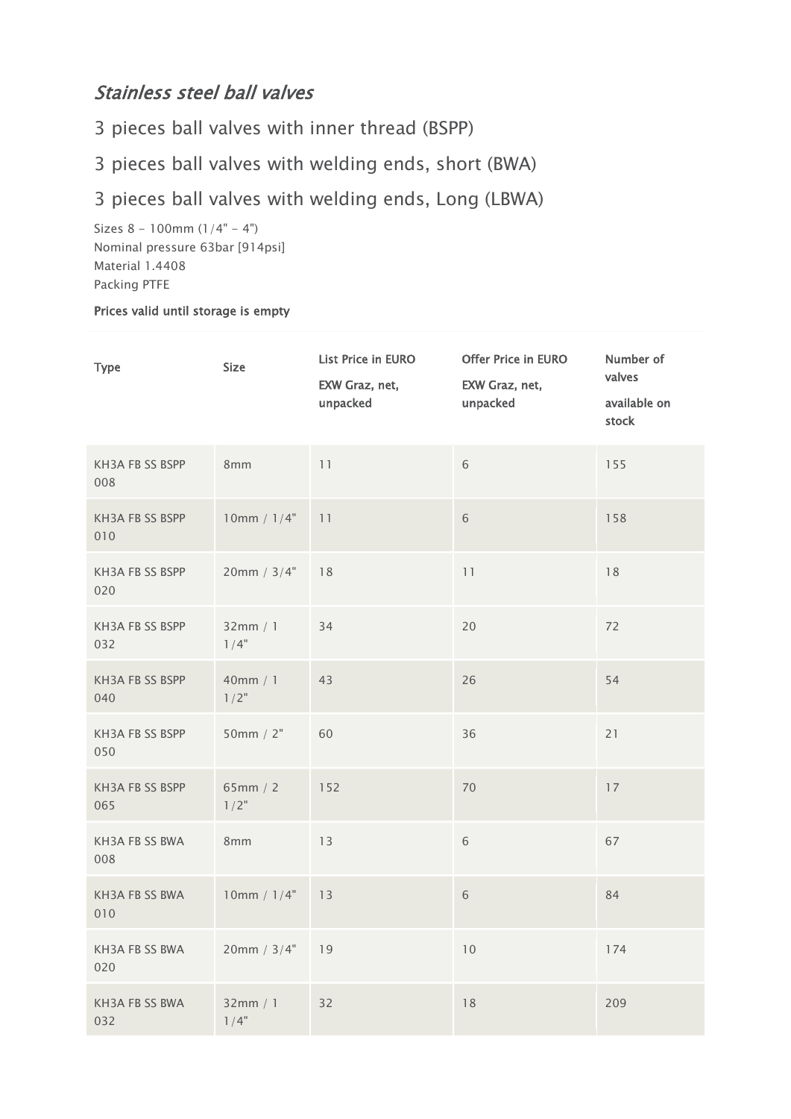## Stainless steel ball valves

3 pieces ball valves with inner thread (BSPP)

3 pieces ball valves with welding ends, short (BWA)

3 pieces ball valves with welding ends, Long (LBWA)

Sizes  $8 - 100$ mm  $(1/4" - 4")$ Nominal pressure 63bar [914psi] Material 1.4408 Packing PTFE

## Prices valid until storage is empty

| <b>Type</b>            | <b>Size</b>         | List Price in EURO<br>EXW Graz, net,<br>unpacked | Offer Price in EURO<br>EXW Graz, net,<br>unpacked | Number of<br>valves<br>available on<br>stock |
|------------------------|---------------------|--------------------------------------------------|---------------------------------------------------|----------------------------------------------|
| KH3A FB SS BSPP<br>008 | 8mm                 | 11                                               | 6                                                 | 155                                          |
| KH3A FB SS BSPP<br>010 | 10mm / 1/4"         | 11                                               | 6                                                 | 158                                          |
| KH3A FB SS BSPP<br>020 | 20mm / 3/4"         | 18                                               | 11                                                | 18                                           |
| KH3A FB SS BSPP<br>032 | 32mm / 1<br>$1/4$ " | 34                                               | 20                                                | 72                                           |
| KH3A FB SS BSPP<br>040 | 40mm / 1<br>$1/2$ " | 43                                               | 26                                                | 54                                           |
| KH3A FB SS BSPP<br>050 | 50mm $/2"$          | 60                                               | 36                                                | 21                                           |
| KH3A FB SS BSPP<br>065 | 65mm / 2<br>$1/2$ " | 152                                              | 70                                                | 17                                           |
| KH3A FB SS BWA<br>008  | 8 <sub>mm</sub>     | 13                                               | 6                                                 | 67                                           |
| KH3A FB SS BWA<br>010  | 10mm / 1/4"         | 13                                               | $\sqrt{6}$                                        | 84                                           |
| KH3A FB SS BWA<br>020  | 20mm / 3/4"         | 19                                               | 10                                                | 174                                          |
| KH3A FB SS BWA<br>032  | 32mm / 1<br>$1/4$ " | 32                                               | 18                                                | 209                                          |